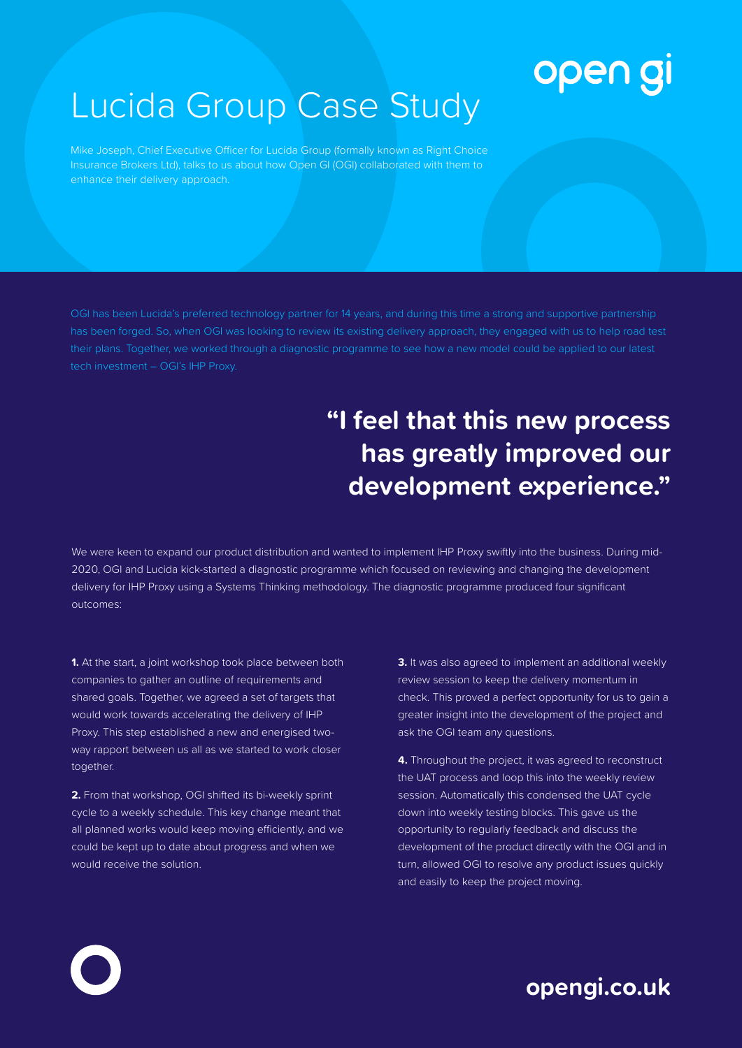## open gi

## Lucida Group Case Study

Mike Joseph, Chief Executive Officer for Lucida Group (formally known as Right Choice Insurance Brokers Ltd), talks to us about how Open GI (OGI) collaborated with them to enhance their delivery approach.

has been forged. So, when OGI was looking to review its existing delivery approach, they engaged with us to help road test their plans. Together, we worked through a diagnostic programme to see how a new model could be applied to our latest tech investment – OGI's IHP Proxy.

## **"I feel that this new process has greatly improved our development experience."**

We were keen to expand our product distribution and wanted to implement IHP Proxy swiftly into the business. During mid-2020, OGI and Lucida kick-started a diagnostic programme which focused on reviewing and changing the development delivery for IHP Proxy using a Systems Thinking methodology. The diagnostic programme produced four significant outcomes:

**1.** At the start, a joint workshop took place between both companies to gather an outline of requirements and shared goals. Together, we agreed a set of targets that would work towards accelerating the delivery of IHP Proxy. This step established a new and energised twoway rapport between us all as we started to work closer together.

**2.** From that workshop, OGI shifted its bi-weekly sprint cycle to a weekly schedule. This key change meant that all planned works would keep moving efficiently, and we could be kept up to date about progress and when we would receive the solution.

**3.** It was also agreed to implement an additional weekly review session to keep the delivery momentum in check. This proved a perfect opportunity for us to gain a greater insight into the development of the project and ask the OGI team any questions.

**4.** Throughout the project, it was agreed to reconstruct the UAT process and loop this into the weekly review session. Automatically this condensed the UAT cycle down into weekly testing blocks. This gave us the opportunity to regularly feedback and discuss the development of the product directly with the OGI and in turn, allowed OGI to resolve any product issues quickly and easily to keep the project moving.

**opengi.co.uk**